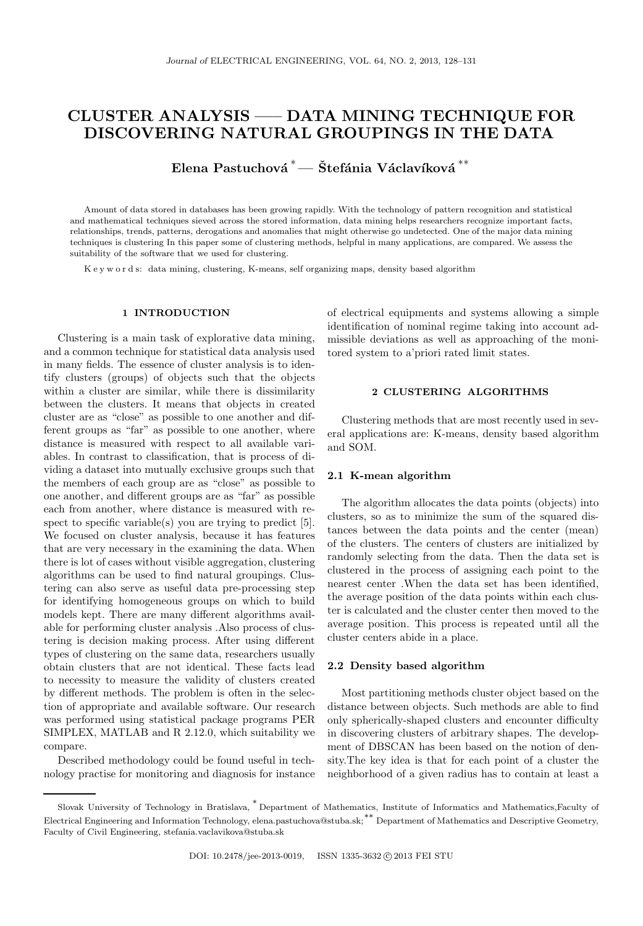# CLUSTER ANALYSIS ––– DATA MINING TECHNIQUE FOR DISCOVERING NATURAL GROUPINGS IN THE DATA

Elena Pastuchová $\displaystyle{ \raisebox{0.6ex}{\scriptsize{*}}}$ — Štefánia Václavíková $\displaystyle{ \raisebox{0.6ex}{\scriptsize{*}}}^*$ 

Amount of data stored in databases has been growing rapidly. With the technology of pattern recognition and statistical and mathematical techniques sieved across the stored information, data mining helps researchers recognize important facts, relationships, trends, patterns, derogations and anomalies that might otherwise go undetected. One of the major data mining techniques is clustering In this paper some of clustering methods, helpful in many applications, are compared. We assess the suitability of the software that we used for clustering.

K e y w o r d s: data mining, clustering, K-means, self organizing maps, density based algorithm

## 1 INTRODUCTION

Clustering is a main task of explorative data mining, and a common technique for statistical data analysis used in many fields. The essence of cluster analysis is to identify clusters (groups) of objects such that the objects within a cluster are similar, while there is dissimilarity between the clusters. It means that objects in created cluster are as "close" as possible to one another and different groups as "far" as possible to one another, where distance is measured with respect to all available variables. In contrast to classification, that is process of dividing a dataset into mutually exclusive groups such that the members of each group are as "close" as possible to one another, and different groups are as "far" as possible each from another, where distance is measured with respect to specific variable(s) you are trying to predict [5]. We focused on cluster analysis, because it has features that are very necessary in the examining the data. When there is lot of cases without visible aggregation, clustering algorithms can be used to find natural groupings. Clustering can also serve as useful data pre-processing step for identifying homogeneous groups on which to build models kept. There are many different algorithms available for performing cluster analysis .Also process of clustering is decision making process. After using different types of clustering on the same data, researchers usually obtain clusters that are not identical. These facts lead to necessity to measure the validity of clusters created by different methods. The problem is often in the selection of appropriate and available software. Our research was performed using statistical package programs PER SIMPLEX, MATLAB and R 2.12.0, which suitability we compare.

Described methodology could be found useful in technology practise for monitoring and diagnosis for instance of electrical equipments and systems allowing a simple identification of nominal regime taking into account admissible deviations as well as approaching of the monitored system to a'priori rated limit states.

## 2 CLUSTERING ALGORITHMS

Clustering methods that are most recently used in several applications are: K-means, density based algorithm and SOM.

#### 2.1 K-mean algorithm

The algorithm allocates the data points (objects) into clusters, so as to minimize the sum of the squared distances between the data points and the center (mean) of the clusters. The centers of clusters are initialized by randomly selecting from the data. Then the data set is clustered in the process of assigning each point to the nearest center .When the data set has been identified, the average position of the data points within each cluster is calculated and the cluster center then moved to the average position. This process is repeated until all the cluster centers abide in a place.

#### 2.2 Density based algorithm

Most partitioning methods cluster object based on the distance between objects. Such methods are able to find only spherically-shaped clusters and encounter difficulty in discovering clusters of arbitrary shapes. The development of DBSCAN has been based on the notion of density.The key idea is that for each point of a cluster the neighborhood of a given radius has to contain at least a

Slovak University of Technology in Bratislava, <sup>∗</sup> Department of Mathematics, Institute of Informatics and Mathematics,Faculty of Electrical Engineering and Information Technology, elena.pastuchova@stuba.sk;∗∗ Department of Mathematics and Descriptive Geometry, Faculty of Civil Engineering, stefania.vaclavikova@stuba.sk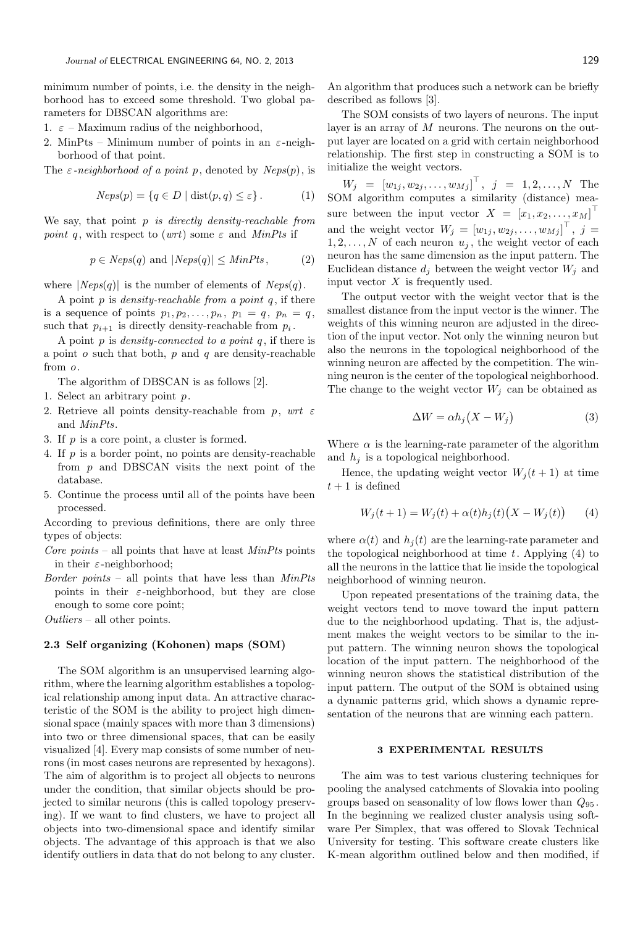minimum number of points, i.e. the density in the neighborhood has to exceed some threshold. Two global parameters for DBSCAN algorithms are:

- 1.  $\varepsilon$  Maximum radius of the neighborhood,
- 2. MinPts Minimum number of points in an  $\varepsilon$ -neighborhood of that point.

The  $\varepsilon$ -neighborhood of a point p, denoted by  $Neps(p)$ , is

$$
Neps(p) = \{ q \in D \mid \text{dist}(p, q) \le \varepsilon \}. \tag{1}
$$

We say, that point  $p$  is directly density-reachable from point q, with respect to (wrt) some  $\varepsilon$  and MinPts if

$$
p \in Neps(q) \text{ and } |Neps(q)| \leq MinPts, \tag{2}
$$

where  $|Neps(q)|$  is the number of elements of  $Neps(q)$ .

A point  $p$  is *density-reachable from a point q*, if there is a sequence of points  $p_1, p_2, \ldots, p_n, p_1 = q, p_n = q$ , such that  $p_{i+1}$  is directly density-reachable from  $p_i$ .

A point  $p$  is *density-connected to a point q*, if there is a point  $o$  such that both,  $p$  and  $q$  are density-reachable from o.

The algorithm of DBSCAN is as follows [2].

- 1. Select an arbitrary point p.
- 2. Retrieve all points density-reachable from p, wrt  $\varepsilon$ and MinPts.
- 3. If p is a core point, a cluster is formed.
- 4. If p is a border point, no points are density-reachable from  $p$  and DBSCAN visits the next point of the database.
- 5. Continue the process until all of the points have been processed.

According to previous definitions, there are only three types of objects:

- Core points all points that have at least  $MinPts$  points in their  $\varepsilon$ -neighborhood;
- Border points all points that have less than  $MinPts$ points in their  $\varepsilon$ -neighborhood, but they are close enough to some core point;

Outliers – all other points.

### 2.3 Self organizing (Kohonen) maps (SOM)

The SOM algorithm is an unsupervised learning algorithm, where the learning algorithm establishes a topological relationship among input data. An attractive characteristic of the SOM is the ability to project high dimensional space (mainly spaces with more than 3 dimensions) into two or three dimensional spaces, that can be easily visualized [4]. Every map consists of some number of neurons (in most cases neurons are represented by hexagons). The aim of algorithm is to project all objects to neurons under the condition, that similar objects should be projected to similar neurons (this is called topology preserving). If we want to find clusters, we have to project all objects into two-dimensional space and identify similar objects. The advantage of this approach is that we also identify outliers in data that do not belong to any cluster.

An algorithm that produces such a network can be briefly described as follows [3].

The SOM consists of two layers of neurons. The input layer is an array of  $M$  neurons. The neurons on the output layer are located on a grid with certain neighborhood relationship. The first step in constructing a SOM is to initialize the weight vectors.

 $W_j = [w_{1j}, w_{2j}, \dots, w_{Mj}]^\top$ ,  $j = 1, 2, \dots, N$  The SOM algorithm computes a similarity (distance) measure between the input vector  $X = [x_1, x_2, \ldots, x_M]^\top$ and the weight vector  $W_j = [w_{1j}, w_{2j}, \dots, w_{Mj}]^\top$ ,  $j =$  $1, 2, \ldots, N$  of each neuron  $u_i$ , the weight vector of each neuron has the same dimension as the input pattern. The Euclidean distance  $d_j$  between the weight vector  $W_j$  and input vector  $X$  is frequently used.

The output vector with the weight vector that is the smallest distance from the input vector is the winner. The weights of this winning neuron are adjusted in the direction of the input vector. Not only the winning neuron but also the neurons in the topological neighborhood of the winning neuron are affected by the competition. The winning neuron is the center of the topological neighborhood. The change to the weight vector  $W_i$  can be obtained as

$$
\Delta W = \alpha h_j \left( X - W_j \right) \tag{3}
$$

Where  $\alpha$  is the learning-rate parameter of the algorithm and  $h_i$  is a topological neighborhood.

Hence, the updating weight vector  $W_j(t+1)$  at time  $t+1$  is defined

$$
W_j(t+1) = W_j(t) + \alpha(t)h_j(t)(X - W_j(t))
$$
 (4)

where  $\alpha(t)$  and  $h_i(t)$  are the learning-rate parameter and the topological neighborhood at time  $t$ . Applying  $(4)$  to all the neurons in the lattice that lie inside the topological neighborhood of winning neuron.

Upon repeated presentations of the training data, the weight vectors tend to move toward the input pattern due to the neighborhood updating. That is, the adjustment makes the weight vectors to be similar to the input pattern. The winning neuron shows the topological location of the input pattern. The neighborhood of the winning neuron shows the statistical distribution of the input pattern. The output of the SOM is obtained using a dynamic patterns grid, which shows a dynamic representation of the neurons that are winning each pattern.

#### 3 EXPERIMENTAL RESULTS

The aim was to test various clustering techniques for pooling the analysed catchments of Slovakia into pooling groups based on seasonality of low flows lower than  $Q_{95}$ . In the beginning we realized cluster analysis using software Per Simplex, that was offered to Slovak Technical University for testing. This software create clusters like K-mean algorithm outlined below and then modified, if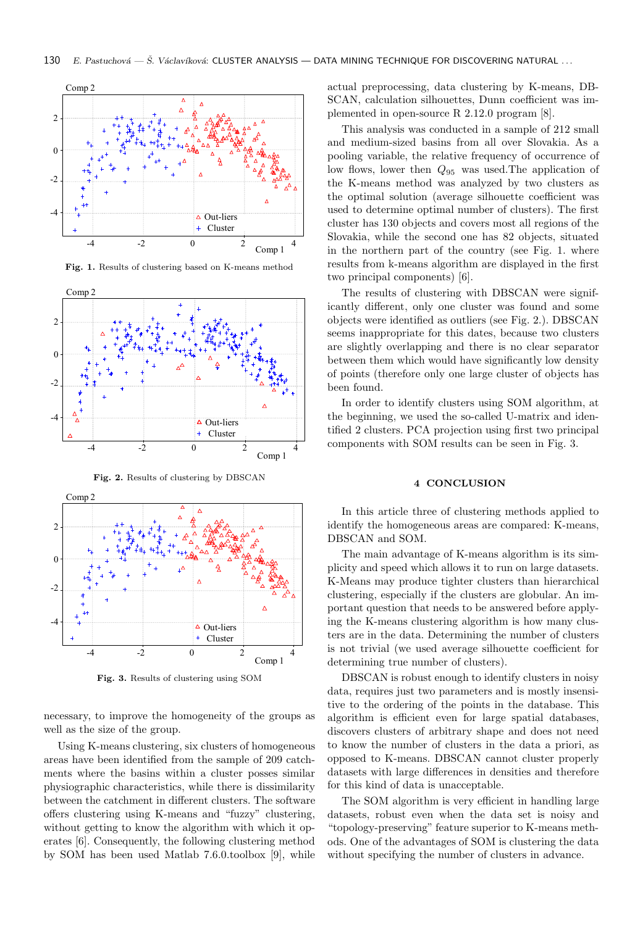

Comp 2  $\overline{2}$  $\overline{0}$ -2 -4  $\triangle$  Out-liers  $\ddot{}$ Cluster  $-4$   $-2$  0 2 4 Comp 1

Fig. 1. Results of clustering based on K-means method

Fig. 2. Results of clustering by DBSCAN



Fig. 3. Results of clustering using SOM

necessary, to improve the homogeneity of the groups as well as the size of the group.

Using K-means clustering, six clusters of homogeneous areas have been identified from the sample of 209 catchments where the basins within a cluster posses similar physiographic characteristics, while there is dissimilarity between the catchment in different clusters. The software offers clustering using K-means and "fuzzy" clustering, without getting to know the algorithm with which it operates [6]. Consequently, the following clustering method by SOM has been used Matlab 7.6.0.toolbox [9], while

actual preprocessing, data clustering by K-means, DB-SCAN, calculation silhouettes, Dunn coefficient was implemented in open-source R 2.12.0 program [8].

This analysis was conducted in a sample of 212 small and medium-sized basins from all over Slovakia. As a pooling variable, the relative frequency of occurrence of low flows, lower then  $Q_{95}$  was used. The application of the K-means method was analyzed by two clusters as the optimal solution (average silhouette coefficient was used to determine optimal number of clusters). The first cluster has 130 objects and covers most all regions of the Slovakia, while the second one has 82 objects, situated in the northern part of the country (see Fig. 1. where results from k-means algorithm are displayed in the first two principal components) [6].

The results of clustering with DBSCAN were significantly different, only one cluster was found and some objects were identified as outliers (see Fig. 2.). DBSCAN seems inappropriate for this dates, because two clusters are slightly overlapping and there is no clear separator between them which would have significantly low density of points (therefore only one large cluster of objects has been found.

In order to identify clusters using SOM algorithm, at the beginning, we used the so-called U-matrix and identified 2 clusters. PCA projection using first two principal components with SOM results can be seen in Fig. 3.

#### 4 CONCLUSION

In this article three of clustering methods applied to identify the homogeneous areas are compared: K-means, DBSCAN and SOM.

The main advantage of K-means algorithm is its simplicity and speed which allows it to run on large datasets. K-Means may produce tighter clusters than hierarchical clustering, especially if the clusters are globular. An important question that needs to be answered before applying the K-means clustering algorithm is how many clusters are in the data. Determining the number of clusters is not trivial (we used average silhouette coefficient for determining true number of clusters).

DBSCAN is robust enough to identify clusters in noisy data, requires just two parameters and is mostly insensitive to the ordering of the points in the database. This algorithm is efficient even for large spatial databases, discovers clusters of arbitrary shape and does not need to know the number of clusters in the data a priori, as opposed to K-means. DBSCAN cannot cluster properly datasets with large differences in densities and therefore for this kind of data is unacceptable.

The SOM algorithm is very efficient in handling large datasets, robust even when the data set is noisy and "topology-preserving" feature superior to K-means methods. One of the advantages of SOM is clustering the data without specifying the number of clusters in advance.